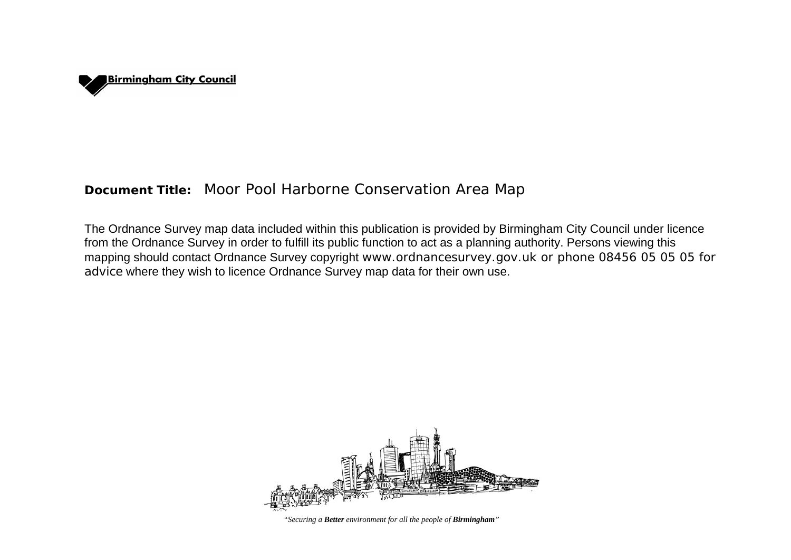

# **Document Title:** Moor Pool Harborne Conservation Area Map

The Ordnance Survey map data included within this publication is provided by Birmingham City Council under licence from the Ordnance Survey in order to fulfill its public function to act as a planning authority. Persons viewing this mapping should contact Ordnance Survey copyright www.ordnancesurvey.gov.uk or phone 08456 05 05 05 for advice where they wish to licence Ordnance Survey map data for their own use.



*"Securing a Better environment for all the people of Birmingham"*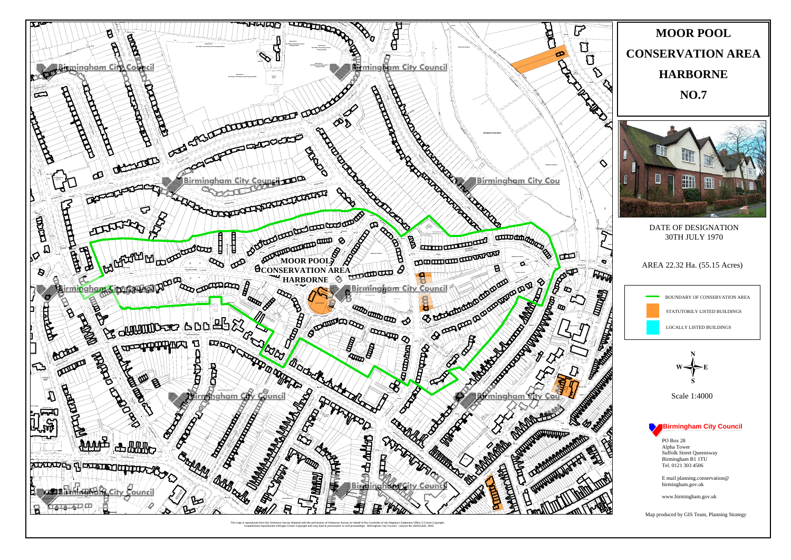

This map is reproduced from the Ordnance Survey Material with the per on of Ordnance Survey on behalf of the Controller of Her Majesty's Stationery Office © Crown Copyright<br>ad to prosecution or civil proceedings. Birmingham City Council. Licence No.100021326, 2005. Copyright and may lead to p



### DATE OF DESIGNATION 30TH JULY 1970

AREA 22.32 Ha. (55.15 Acres)



BOUNDARY OF CONSERVATION AREA

STATUTORILY LISTED BUILDINGS

**LOCALLY LISTED BUILDINGS** 

Scale 1:4000

## **Birmingham City Council**

**PO Box 28** Alpha Tower Suffolk Street Queensway<br>Birmingham B1 1TU Tel. 0121 303 4506

E mail planning.conservation@ birmingham.gov.uk

www.birmingham.gov.uk

Map produced by GIS Team, Planning Strategy